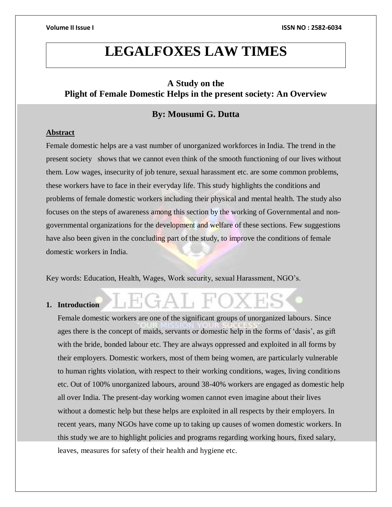## **LEGALFOXES LAW TIMES**

### **A Study on the Plight of Female Domestic Helps in the present society: An Overview**

## **By: Mousumi G. Dutta**

#### **Abstract**

Female domestic helps are a vast number of unorganized workforces in India. The trend in the present society shows that we cannot even think of the smooth functioning of our lives without them. Low wages, insecurity of job tenure, sexual harassment etc. are some common problems, these workers have to face in their everyday life. This study highlights the conditions and problems of female domestic workers including their physical and mental health. The study also focuses on the steps of awareness among this section by the working of Governmental and nongovernmental organizations for the development and welfare of these sections. Few suggestions have also been given in the concluding part of the study, to improve the conditions of female domestic workers in India.

Key words: Education, Health, Wages, Work security, sexual Harassment, NGO's.

 $\hat{\tau}A \vdash F$ 

#### **1. Introduction**

Female domestic workers are one of the significant groups of unorganized labours. Since ages there is the concept of maids, servants or domestic help in the forms of 'dasis', as gift with the bride, bonded labour etc. They are always oppressed and exploited in all forms by their employers. Domestic workers, most of them being women, are particularly vulnerable to human rights violation, with respect to their working conditions, wages, living conditions etc. Out of 100% unorganized labours, around 38-40% workers are engaged as domestic help all over India. The present-day working women cannot even imagine about their lives without a domestic help but these helps are exploited in all respects by their employers. In recent years, many NGOs have come up to taking up causes of women domestic workers. In this study we are to highlight policies and programs regarding working hours, fixed salary, leaves, measures for safety of their health and hygiene etc.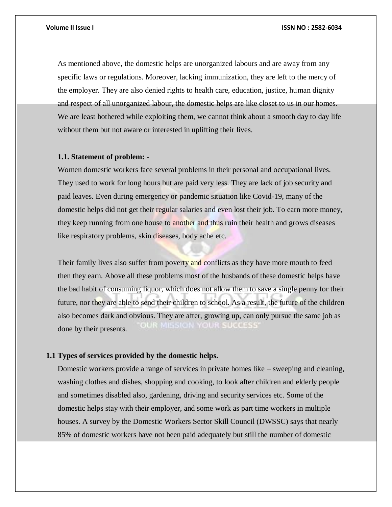As mentioned above, the domestic helps are unorganized labours and are away from any specific laws or regulations. Moreover, lacking immunization, they are left to the mercy of the employer. They are also denied rights to health care, education, justice, human dignity and respect of all unorganized labour, the domestic helps are like closet to us in our homes. We are least bothered while exploiting them, we cannot think about a smooth day to day life without them but not aware or interested in uplifting their lives.

#### **1.1. Statement of problem: -**

Women domestic workers face several problems in their personal and occupational lives. They used to work for long hours but are paid very less. They are lack of job security and paid leaves. Even during emergency or pandemic situation like Covid-19, many of the domestic helps did not get their regular salaries and even lost their job. To earn more money, they keep running from one house to another and thus ruin their health and grows diseases like respiratory problems, skin diseases, body ache etc.

Their family lives also suffer from poverty and conflicts as they have more mouth to feed then they earn. Above all these problems most of the husbands of these domestic helps have the bad habit of consuming liquor, which does not allow them to save a single penny for their future, nor they are able to send their children to school. As a result, the future of the children also becomes dark and obvious. They are after, growing up, can only pursue the same job as **WOULDER TO BE A SERVE** done by their presents.

#### **1.1 Types of services provided by the domestic helps.**

Domestic workers provide a range of services in private homes like – sweeping and cleaning, washing clothes and dishes, shopping and cooking, to look after children and elderly people and sometimes disabled also, gardening, driving and security services etc. Some of the domestic helps stay with their employer, and some work as part time workers in multiple houses. A survey by the Domestic Workers Sector Skill Council (DWSSC) says that nearly 85% of domestic workers have not been paid adequately but still the number of domestic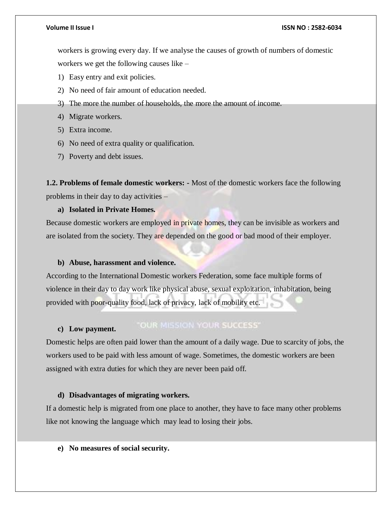#### **Volume II Issue I ISSN NO : 2582-6034**

workers is growing every day. If we analyse the causes of growth of numbers of domestic workers we get the following causes like –

- 1) Easy entry and exit policies.
- 2) No need of fair amount of education needed.
- 3) The more the number of households, the more the amount of income.
- 4) Migrate workers.
- 5) Extra income.
- 6) No need of extra quality or qualification.
- 7) Poverty and debt issues.

**1.2. Problems of female domestic workers: -** Most of the domestic workers face the following problems in their day to day activities –

#### **a) Isolated in Private Homes.**

Because domestic workers are employed in private homes, they can be invisible as workers and are isolated from the society. They are depended on the good or bad mood of their employer.

#### **b) Abuse, harassment and violence.**

According to the International Domestic workers Federation, some face multiple forms of violence in their day to day work like physical abuse, sexual exploitation, inhabitation, being provided with poor-quality food, lack of privacy, lack of mobility etc.

#### "OUR MISSION YOUR SUCCESS" **c) Low payment.**

Domestic helps are often paid lower than the amount of a daily wage. Due to scarcity of jobs, the workers used to be paid with less amount of wage. Sometimes, the domestic workers are been assigned with extra duties for which they are never been paid off.

#### **d) Disadvantages of migrating workers.**

If a domestic help is migrated from one place to another, they have to face many other problems like not knowing the language which may lead to losing their jobs.

**e) No measures of social security.**